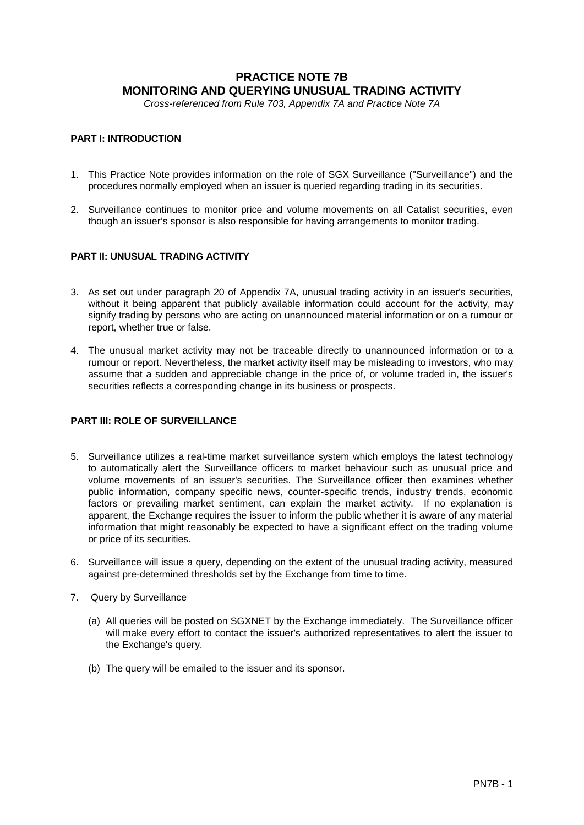# **PRACTICE NOTE 7B MONITORING AND QUERYING UNUSUAL TRADING ACTIVITY**

*Cross-referenced from Rule 703, Appendix 7A and Practice Note 7A* 

## **PART I: INTRODUCTION**

- 1. This Practice Note provides information on the role of SGX Surveillance ("Surveillance") and the procedures normally employed when an issuer is queried regarding trading in its securities.
- 2. Surveillance continues to monitor price and volume movements on all Catalist securities, even though an issuer's sponsor is also responsible for having arrangements to monitor trading.

### **PART II: UNUSUAL TRADING ACTIVITY**

- 3. As set out under paragraph 20 of Appendix 7A, unusual trading activity in an issuer's securities, without it being apparent that publicly available information could account for the activity, may signify trading by persons who are acting on unannounced material information or on a rumour or report, whether true or false.
- 4. The unusual market activity may not be traceable directly to unannounced information or to a rumour or report. Nevertheless, the market activity itself may be misleading to investors, who may assume that a sudden and appreciable change in the price of, or volume traded in, the issuer's securities reflects a corresponding change in its business or prospects.

#### **PART III: ROLE OF SURVEILLANCE**

- 5. Surveillance utilizes a real-time market surveillance system which employs the latest technology to automatically alert the Surveillance officers to market behaviour such as unusual price and volume movements of an issuer's securities. The Surveillance officer then examines whether public information, company specific news, counter-specific trends, industry trends, economic factors or prevailing market sentiment, can explain the market activity. If no explanation is apparent, the Exchange requires the issuer to inform the public whether it is aware of any material information that might reasonably be expected to have a significant effect on the trading volume or price of its securities.
- 6. Surveillance will issue a query, depending on the extent of the unusual trading activity, measured against pre-determined thresholds set by the Exchange from time to time.
- 7. Query by Surveillance
	- (a) All queries will be posted on SGXNET by the Exchange immediately. The Surveillance officer will make every effort to contact the issuer's authorized representatives to alert the issuer to the Exchange's query.
	- (b) The query will be emailed to the issuer and its sponsor.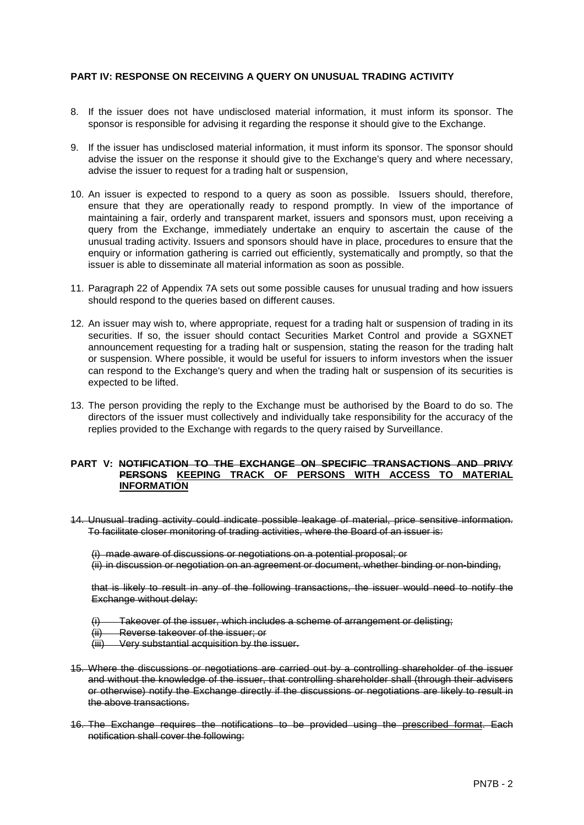## **PART IV: RESPONSE ON RECEIVING A QUERY ON UNUSUAL TRADING ACTIVITY**

- 8. If the issuer does not have undisclosed material information, it must inform its sponsor. The sponsor is responsible for advising it regarding the response it should give to the Exchange.
- 9. If the issuer has undisclosed material information, it must inform its sponsor. The sponsor should advise the issuer on the response it should give to the Exchange's query and where necessary, advise the issuer to request for a trading halt or suspension,
- 10. An issuer is expected to respond to a query as soon as possible. Issuers should, therefore, ensure that they are operationally ready to respond promptly. In view of the importance of maintaining a fair, orderly and transparent market, issuers and sponsors must, upon receiving a query from the Exchange, immediately undertake an enquiry to ascertain the cause of the unusual trading activity. Issuers and sponsors should have in place, procedures to ensure that the enquiry or information gathering is carried out efficiently, systematically and promptly, so that the issuer is able to disseminate all material information as soon as possible.
- 11. Paragraph 22 of Appendix 7A sets out some possible causes for unusual trading and how issuers should respond to the queries based on different causes.
- 12. An issuer may wish to, where appropriate, request for a trading halt or suspension of trading in its securities. If so, the issuer should contact Securities Market Control and provide a SGXNET announcement requesting for a trading halt or suspension, stating the reason for the trading halt or suspension. Where possible, it would be useful for issuers to inform investors when the issuer can respond to the Exchange's query and when the trading halt or suspension of its securities is expected to be lifted.
- 13. The person providing the reply to the Exchange must be authorised by the Board to do so. The directors of the issuer must collectively and individually take responsibility for the accuracy of the replies provided to the Exchange with regards to the query raised by Surveillance.

#### **PART V: NOTIFICATION TO THE EXCHANGE ON SPECIFIC TRANSACTIONS AND PRIVY PERSONS KEEPING TRACK OF PERSONS WITH ACCESS TO MATERIAL INFORMATION**

- 14. Unusual trading activity could indicate possible leakage of material, price sensitive information. To facilitate closer monitoring of trading activities, where the Board of an issuer is:
	- (i) made aware of discussions or negotiations on a potential proposal; or
	- (ii) in discussion or negotiation on an agreement or document, whether binding or non-binding,

that is likely to result in any of the following transactions, the issuer would need to notify the Exchange without delay:

- (i) Takeover of the issuer, which includes a scheme of arrangement or delisting;
- (ii) Reverse takeover of the issuer; or
- (iii) Very substantial acquisition by the issuer.
- 15. Where the discussions or negotiations are carried out by a controlling shareholder of the issuer and without the knowledge of the issuer, that controlling shareholder shall (through their advisers or otherwise) notify the Exchange directly if the discussions or negotiations are likely to result in the above transactions.
- 16. The Exchange requires the notifications to be provided using the prescribed format. Each notification shall cover the following: